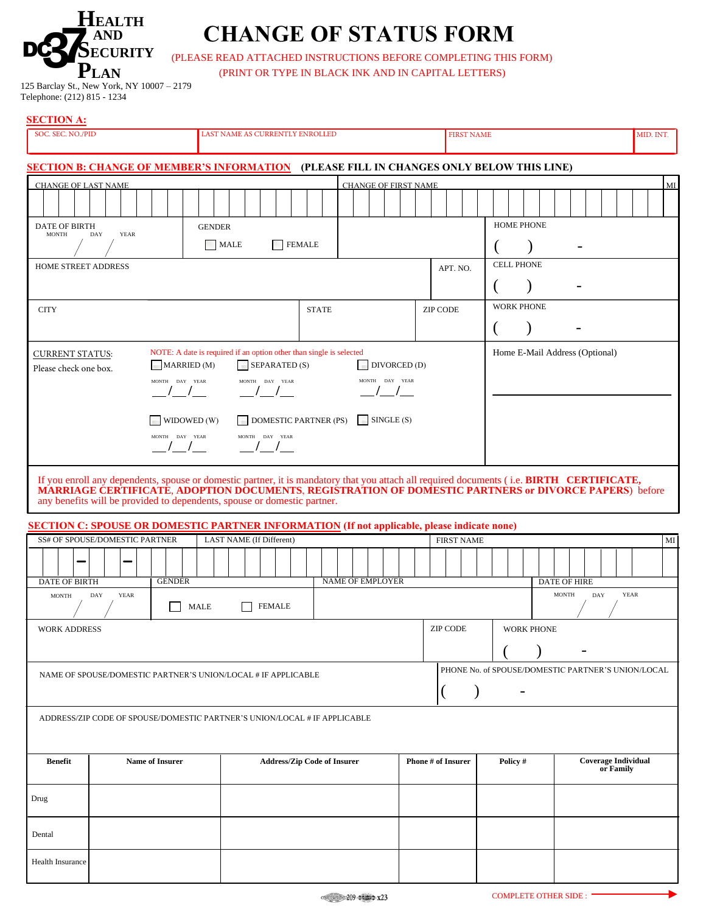

## **CHANGE OF STATUS FORM**

(PLEASE READ ATTACHED INSTRUCTIONS BEFORE COMPLETING THIS FORM)

(PRINT OR TYPE IN BLACK INK AND IN CAPITAL LETTERS)

| - - - -                                    |
|--------------------------------------------|
| 125 Barclay St., New York, NY 10007 - 2179 |
| Telephone: (212) 815 - 1234                |

| <b>SECTION A:</b>                                                                                                                                                                                                                                                                                                                                                                                                                    |                                                                             |                               |      |                          |                                    |  |                    |  |                           |                   |                   |                   |  |                          |  |           |                            |           |  |
|--------------------------------------------------------------------------------------------------------------------------------------------------------------------------------------------------------------------------------------------------------------------------------------------------------------------------------------------------------------------------------------------------------------------------------------|-----------------------------------------------------------------------------|-------------------------------|------|--------------------------|------------------------------------|--|--------------------|--|---------------------------|-------------------|-------------------|-------------------|--|--------------------------|--|-----------|----------------------------|-----------|--|
| SOC. SEC. NO./PID                                                                                                                                                                                                                                                                                                                                                                                                                    |                                                                             |                               |      |                          | LAST NAME AS CURRENTLY ENROLLED    |  |                    |  |                           | <b>FIRST NAME</b> |                   |                   |  |                          |  |           |                            | MID. INT. |  |
| <b>SECTION B: CHANGE OF MEMBER'S INFORMATION (PLEASE FILL IN CHANGES ONLY BELOW THIS LINE)</b>                                                                                                                                                                                                                                                                                                                                       |                                                                             |                               |      |                          |                                    |  |                    |  |                           |                   |                   |                   |  |                          |  |           |                            |           |  |
| $\mathbf{M}\mathbf{I}$<br><b>CHANGE OF LAST NAME</b><br><b>CHANGE OF FIRST NAME</b>                                                                                                                                                                                                                                                                                                                                                  |                                                                             |                               |      |                          |                                    |  |                    |  |                           |                   |                   |                   |  |                          |  |           |                            |           |  |
|                                                                                                                                                                                                                                                                                                                                                                                                                                      |                                                                             |                               |      |                          |                                    |  |                    |  |                           |                   |                   |                   |  |                          |  |           |                            |           |  |
| <b>DATE OF BIRTH</b><br><b>MONTH</b>                                                                                                                                                                                                                                                                                                                                                                                                 | <b>YEAR</b><br>DAY                                                          | <b>GENDER</b>                 |      |                          |                                    |  |                    |  |                           |                   |                   | <b>HOME PHONE</b> |  |                          |  |           |                            |           |  |
|                                                                                                                                                                                                                                                                                                                                                                                                                                      |                                                                             |                               | MALE |                          | <b>FEMALE</b>                      |  |                    |  |                           |                   |                   |                   |  | $\overline{\phantom{0}}$ |  |           |                            |           |  |
| HOME STREET ADDRESS                                                                                                                                                                                                                                                                                                                                                                                                                  |                                                                             |                               |      |                          |                                    |  | APT. NO.           |  |                           |                   | <b>CELL PHONE</b> |                   |  |                          |  |           |                            |           |  |
|                                                                                                                                                                                                                                                                                                                                                                                                                                      |                                                                             |                               |      |                          |                                    |  | <b>WORK PHONE</b>  |  |                           |                   |                   |                   |  |                          |  |           |                            |           |  |
| <b>CITY</b>                                                                                                                                                                                                                                                                                                                                                                                                                          |                                                                             |                               |      |                          | <b>STATE</b>                       |  |                    |  | <b>ZIP CODE</b>           |                   |                   |                   |  |                          |  |           |                            |           |  |
| NOTE: A date is required if an option other than single is selected<br>Home E-Mail Address (Optional)<br><b>CURRENT STATUS:</b><br>DIVORCED(D)<br>MARRIED (M)<br>$\sim$ SEPARATED (S)                                                                                                                                                                                                                                                |                                                                             |                               |      |                          |                                    |  |                    |  |                           |                   |                   |                   |  |                          |  |           |                            |           |  |
|                                                                                                                                                                                                                                                                                                                                                                                                                                      | Please check one box.<br>MONTH DAY YEAR<br>MONTH DAY YEAR<br>MONTH DAY YEAR |                               |      |                          |                                    |  |                    |  |                           |                   |                   |                   |  |                          |  |           |                            |           |  |
|                                                                                                                                                                                                                                                                                                                                                                                                                                      |                                                                             | WIDOWED (W)<br>MONTH DAY YEAR |      | MONTH DAY YEAR           | <b>DOMESTIC PARTNER (PS)</b>       |  | $\vert$ SINGLE (S) |  |                           |                   |                   |                   |  |                          |  |           |                            |           |  |
| If you enroll any dependents, spouse or domestic partner, it is mandatory that you attach all required documents (i.e. BIRTH CERTIFICATE,<br>MARRIAGE CERTIFICATE, ADOPTION DOCUMENTS, REGISTRATION OF DOMESTIC PARTNERS or DIVORCE PAPERS) before<br>any benefits will be provided to dependents, spouse or domestic partner.<br><b>SECTION C: SPOUSE OR DOMESTIC PARTNER INFORMATION (If not applicable, please indicate none)</b> |                                                                             |                               |      |                          |                                    |  |                    |  |                           |                   |                   |                   |  |                          |  |           |                            |           |  |
|                                                                                                                                                                                                                                                                                                                                                                                                                                      | SS# OF SPOUSE/DOMESTIC PARTNER                                              |                               |      | LAST NAME (If Different) |                                    |  |                    |  | <b>FIRST NAME</b>         |                   |                   |                   |  |                          |  |           |                            | MI        |  |
| <b>DATE OF BIRTH</b>                                                                                                                                                                                                                                                                                                                                                                                                                 |                                                                             | <b>GENDER</b>                 |      |                          |                                    |  |                    |  |                           |                   |                   |                   |  |                          |  |           |                            |           |  |
| <b>NAME OF EMPLOYER</b><br>DATE OF HIRE<br><b>MONTH</b><br>DAY<br><b>YEAR</b><br>DAY<br><b>YEAR</b><br><b>MONTH</b><br><b>FEMALE</b><br>MALE                                                                                                                                                                                                                                                                                         |                                                                             |                               |      |                          |                                    |  |                    |  |                           |                   |                   |                   |  |                          |  |           |                            |           |  |
| <b>ZIP CODE</b><br><b>WORK PHONE</b><br><b>WORK ADDRESS</b>                                                                                                                                                                                                                                                                                                                                                                          |                                                                             |                               |      |                          |                                    |  |                    |  |                           |                   |                   |                   |  |                          |  |           |                            |           |  |
| PHONE No. of SPOUSE/DOMESTIC PARTNER'S UNION/LOCAL<br>NAME OF SPOUSE/DOMESTIC PARTNER'S UNION/LOCAL # IF APPLICABLE<br>(                                                                                                                                                                                                                                                                                                             |                                                                             |                               |      |                          |                                    |  |                    |  |                           |                   |                   |                   |  |                          |  |           |                            |           |  |
| ADDRESS/ZIP CODE OF SPOUSE/DOMESTIC PARTNER'S UNION/LOCAL # IF APPLICABLE                                                                                                                                                                                                                                                                                                                                                            |                                                                             |                               |      |                          |                                    |  |                    |  |                           |                   |                   |                   |  |                          |  |           |                            |           |  |
| <b>Benefit</b>                                                                                                                                                                                                                                                                                                                                                                                                                       | <b>Name of Insurer</b>                                                      |                               |      |                          | <b>Address/Zip Code of Insurer</b> |  |                    |  | <b>Phone # of Insurer</b> |                   |                   | Policy #          |  |                          |  | or Family | <b>Coverage Individual</b> |           |  |
| Drug                                                                                                                                                                                                                                                                                                                                                                                                                                 |                                                                             |                               |      |                          |                                    |  |                    |  |                           |                   |                   |                   |  |                          |  |           |                            |           |  |
| Dental                                                                                                                                                                                                                                                                                                                                                                                                                               |                                                                             |                               |      |                          |                                    |  |                    |  |                           |                   |                   |                   |  |                          |  |           |                            |           |  |
| Health Insurance                                                                                                                                                                                                                                                                                                                                                                                                                     |                                                                             |                               |      |                          |                                    |  |                    |  |                           |                   |                   |                   |  |                          |  |           |                            |           |  |